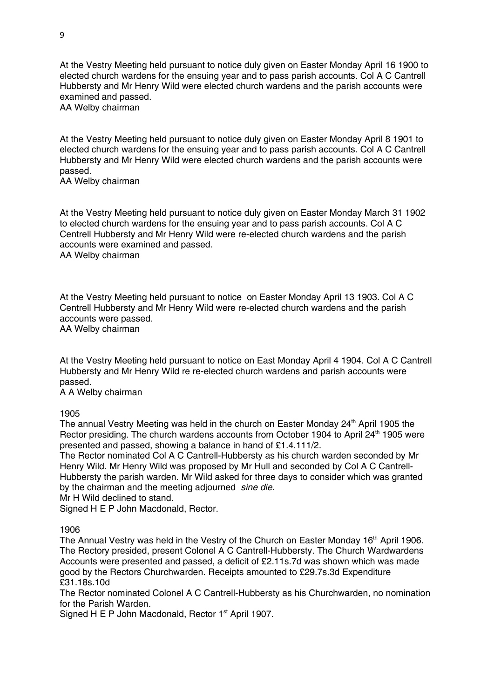At the Vestry Meeting held pursuant to notice duly given on Easter Monday April 16 1900 to elected church wardens for the ensuing year and to pass parish accounts. Col A C Cantrell Hubbersty and Mr Henry Wild were elected church wardens and the parish accounts were examined and passed.

AA Welby chairman

At the Vestry Meeting held pursuant to notice duly given on Easter Monday April 8 1901 to elected church wardens for the ensuing year and to pass parish accounts. Col A C Cantrell Hubbersty and Mr Henry Wild were elected church wardens and the parish accounts were passed.

AA Welby chairman

At the Vestry Meeting held pursuant to notice duly given on Easter Monday March 31 1902 to elected church wardens for the ensuing year and to pass parish accounts. Col A C Centrell Hubbersty and Mr Henry Wild were re-elected church wardens and the parish accounts were examined and passed. AA Welby chairman

At the Vestry Meeting held pursuant to notice on Easter Monday April 13 1903. Col A C Centrell Hubbersty and Mr Henry Wild were re-elected church wardens and the parish accounts were passed. AA Welby chairman

At the Vestry Meeting held pursuant to notice on East Monday April 4 1904. Col A C Cantrell Hubbersty and Mr Henry Wild re re-elected church wardens and parish accounts were passed.

A A Welby chairman

1905

The annual Vestry Meeting was held in the church on Easter Monday  $24<sup>th</sup>$  April 1905 the Rector presiding. The church wardens accounts from October 1904 to April 24<sup>th</sup> 1905 were presented and passed, showing a balance in hand of £1.4.111/2.

The Rector nominated Col A C Cantrell-Hubbersty as his church warden seconded by Mr Henry Wild. Mr Henry Wild was proposed by Mr Hull and seconded by Col A C Cantrell-Hubbersty the parish warden. Mr Wild asked for three days to consider which was granted by the chairman and the meeting adjourned *sine die.* 

Mr H Wild declined to stand.

Signed H E P John Macdonald, Rector.

1906

The Annual Vestry was held in the Vestry of the Church on Easter Monday 16<sup>th</sup> April 1906. The Rectory presided, present Colonel A C Cantrell-Hubbersty. The Church Wardwardens Accounts were presented and passed, a deficit of £2.11s.7d was shown which was made good by the Rectors Churchwarden. Receipts amounted to £29.7s.3d Expenditure £31.18s.10d

The Rector nominated Colonel A C Cantrell-Hubbersty as his Churchwarden, no nomination for the Parish Warden.

Signed H E P John Macdonald, Rector 1<sup>st</sup> April 1907.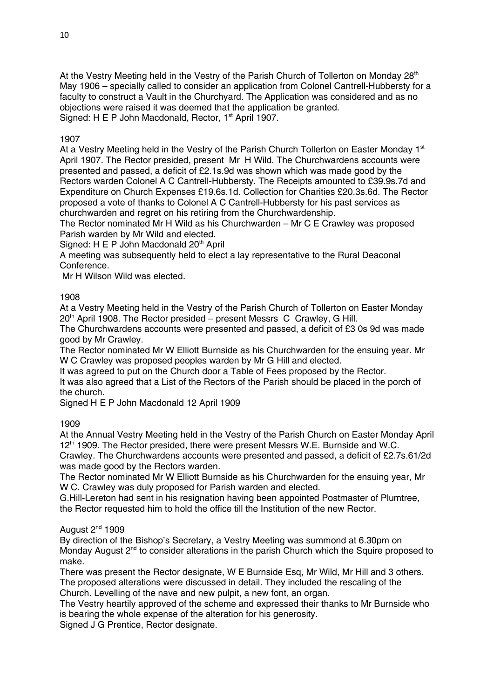At the Vestry Meeting held in the Vestry of the Parish Church of Tollerton on Monday 28<sup>th</sup> May 1906 – specially called to consider an application from Colonel Cantrell-Hubbersty for a faculty to construct a Vault in the Churchyard. The Application was considered and as no objections were raised it was deemed that the application be granted. Signed: H E P John Macdonald, Rector, 1<sup>st</sup> April 1907.

# 1907

At a Vestry Meeting held in the Vestry of the Parish Church Tollerton on Easter Monday 1st April 1907. The Rector presided, present Mr H Wild. The Churchwardens accounts were presented and passed, a deficit of £2.1s.9d was shown which was made good by the Rectors warden Colonel A C Cantrell-Hubbersty. The Receipts amounted to £39.9s.7d and Expenditure on Church Expenses £19.6s.1d. Collection for Charities £20.3s.6d. The Rector proposed a vote of thanks to Colonel A C Cantrell-Hubbersty for his past services as churchwarden and regret on his retiring from the Churchwardenship.

The Rector nominated Mr H Wild as his Churchwarden – Mr C E Crawley was proposed Parish warden by Mr Wild and elected.

Signed: H E P John Macdonald  $20<sup>th</sup>$  April

A meeting was subsequently held to elect a lay representative to the Rural Deaconal Conference.

Mr H Wilson Wild was elected.

# 1908

At a Vestry Meeting held in the Vestry of the Parish Church of Tollerton on Easter Monday  $20<sup>th</sup>$  April 1908. The Rector presided – present Messrs C Crawley, G Hill.

The Churchwardens accounts were presented and passed, a deficit of £3 0s 9d was made good by Mr Crawley.

The Rector nominated Mr W Elliott Burnside as his Churchwarden for the ensuing year. Mr W C Crawley was proposed peoples warden by Mr G Hill and elected.

It was agreed to put on the Church door a Table of Fees proposed by the Rector.

It was also agreed that a List of the Rectors of the Parish should be placed in the porch of the church.

Signed H E P John Macdonald 12 April 1909

# 1909

At the Annual Vestry Meeting held in the Vestry of the Parish Church on Easter Monday April 12<sup>th</sup> 1909. The Rector presided, there were present Messrs W.E. Burnside and W.C.

Crawley. The Churchwardens accounts were presented and passed, a deficit of £2.7s.61/2d was made good by the Rectors warden.

The Rector nominated Mr W Elliott Burnside as his Churchwarden for the ensuing year, Mr W C. Crawley was duly proposed for Parish warden and elected.

G.Hill-Lereton had sent in his resignation having been appointed Postmaster of Plumtree, the Rector requested him to hold the office till the Institution of the new Rector.

# August  $2<sup>nd</sup>$  1909

By direction of the Bishop's Secretary, a Vestry Meeting was summond at 6.30pm on Monday August 2<sup>nd</sup> to consider alterations in the parish Church which the Squire proposed to make.

There was present the Rector designate, W E Burnside Esq, Mr Wild, Mr Hill and 3 others. The proposed alterations were discussed in detail. They included the rescaling of the Church. Levelling of the nave and new pulpit, a new font, an organ.

The Vestry heartily approved of the scheme and expressed their thanks to Mr Burnside who is bearing the whole expense of the alteration for his generosity.

Signed J G Prentice, Rector designate.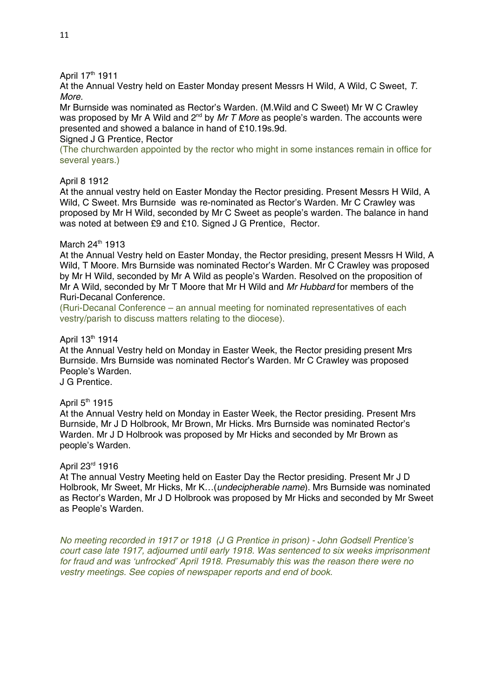## April 17th 1911

At the Annual Vestry held on Easter Monday present Messrs H Wild, A Wild, C Sweet, *T. More.*

Mr Burnside was nominated as Rector's Warden. (M.Wild and C Sweet) Mr W C Crawley was proposed by Mr A Wild and 2<sup>nd</sup> by *Mr T More* as people's warden. The accounts were presented and showed a balance in hand of £10.19s.9d.

Signed J G Prentice, Rector

(The churchwarden appointed by the rector who might in some instances remain in office for several years.)

#### April 8 1912

At the annual vestry held on Easter Monday the Rector presiding. Present Messrs H Wild, A Wild, C Sweet. Mrs Burnside was re-nominated as Rector's Warden. Mr C Crawley was proposed by Mr H Wild, seconded by Mr C Sweet as people's warden. The balance in hand was noted at between £9 and £10. Signed J G Prentice. Rector.

## March 24th 1913

At the Annual Vestry held on Easter Monday, the Rector presiding, present Messrs H Wild, A Wild, T Moore. Mrs Burnside was nominated Rector's Warden. Mr C Crawley was proposed by Mr H Wild, seconded by Mr A Wild as people's Warden. Resolved on the proposition of Mr A Wild, seconded by Mr T Moore that Mr H Wild and *Mr Hubbard* for members of the Ruri-Decanal Conference.

(Ruri-Decanal Conference – an annual meeting for nominated representatives of each vestry/parish to discuss matters relating to the diocese).

## April 13th 1914

At the Annual Vestry held on Monday in Easter Week, the Rector presiding present Mrs Burnside. Mrs Burnside was nominated Rector's Warden. Mr C Crawley was proposed People's Warden.

J G Prentice.

#### April  $5<sup>th</sup>$  1915

At the Annual Vestry held on Monday in Easter Week, the Rector presiding. Present Mrs Burnside, Mr J D Holbrook, Mr Brown, Mr Hicks. Mrs Burnside was nominated Rector's Warden. Mr J D Holbrook was proposed by Mr Hicks and seconded by Mr Brown as people's Warden.

#### April 23rd 1916

At The annual Vestry Meeting held on Easter Day the Rector presiding. Present Mr J D Holbrook, Mr Sweet, Mr Hicks, Mr K…(*undecipherable name*). Mrs Burnside was nominated as Rector's Warden, Mr J D Holbrook was proposed by Mr Hicks and seconded by Mr Sweet as People's Warden.

*No meeting recorded in 1917 or 1918 (J G Prentice in prison) - John Godsell Prentice's court case late 1917, adjourned until early 1918. Was sentenced to six weeks imprisonment for fraud and was 'unfrocked' April 1918. Presumably this was the reason there were no vestry meetings. See copies of newspaper reports and end of book.*